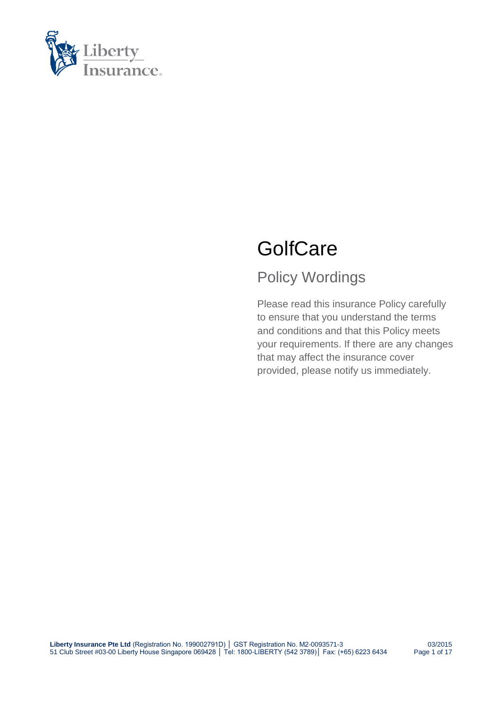

# **GolfCare**

### Policy Wordings

Please read this insurance Policy carefully to ensure that you understand the terms and conditions and that this Policy meets your requirements. If there are any changes that may affect the insurance cover provided, please notify us immediately.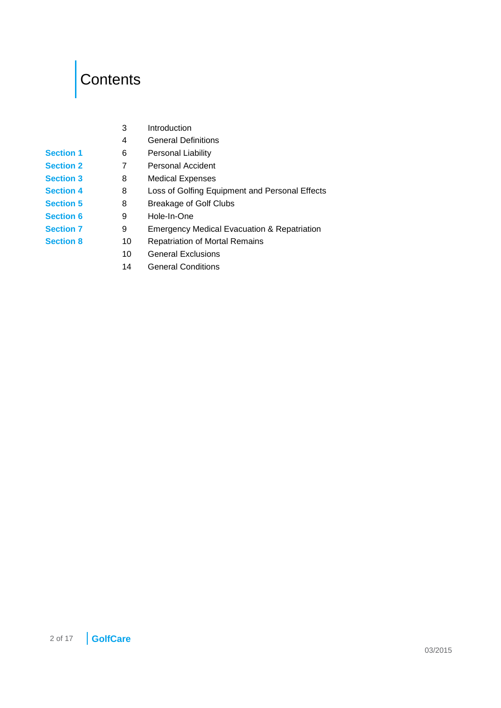# <span id="page-1-0"></span>Contents

|                  | 3  | Introduction                                           |
|------------------|----|--------------------------------------------------------|
|                  | 4  | <b>General Definitions</b>                             |
| <b>Section 1</b> | 6  | Personal Liability                                     |
| <b>Section 2</b> | 7  | <b>Personal Accident</b>                               |
| <b>Section 3</b> | 8  | <b>Medical Expenses</b>                                |
| <b>Section 4</b> | 8  | Loss of Golfing Equipment and Personal Effects         |
| <b>Section 5</b> | 8  | <b>Breakage of Golf Clubs</b>                          |
| <b>Section 6</b> | 9  | Hole-In-One                                            |
| <b>Section 7</b> | 9  | <b>Emergency Medical Evacuation &amp; Repatriation</b> |
| <b>Section 8</b> | 10 | <b>Repatriation of Mortal Remains</b>                  |
|                  | 10 | <b>General Exclusions</b>                              |
|                  |    |                                                        |

[14](#page-13-0) [General Conditions](#page-13-0)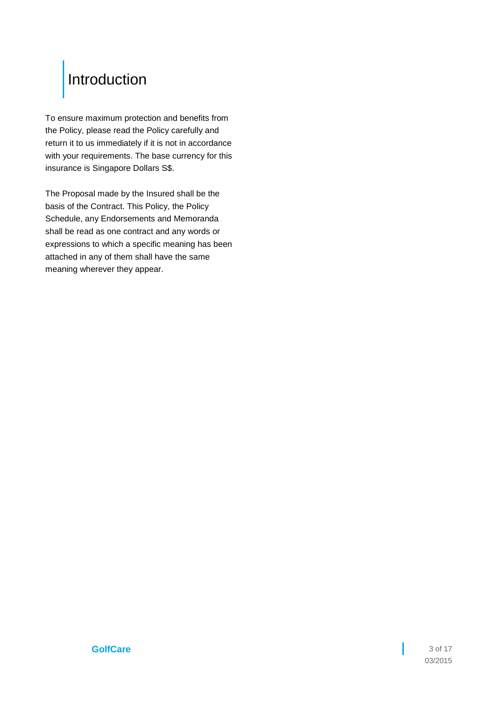### <span id="page-2-0"></span>[Introduction](#page-1-0)

To ensure maximum protection and benefits from the Policy, please read the Policy carefully and return it to us immediately if it is not in accordance with your requirements. The base currency for this insurance is Singapore Dollars S\$.

The Proposal made by the Insured shall be the basis of the Contract. This Policy, the Policy Schedule, any Endorsements and Memoranda shall be read as one contract and any words or expressions to which a specific meaning has been attached in any of them shall have the same meaning wherever they appear.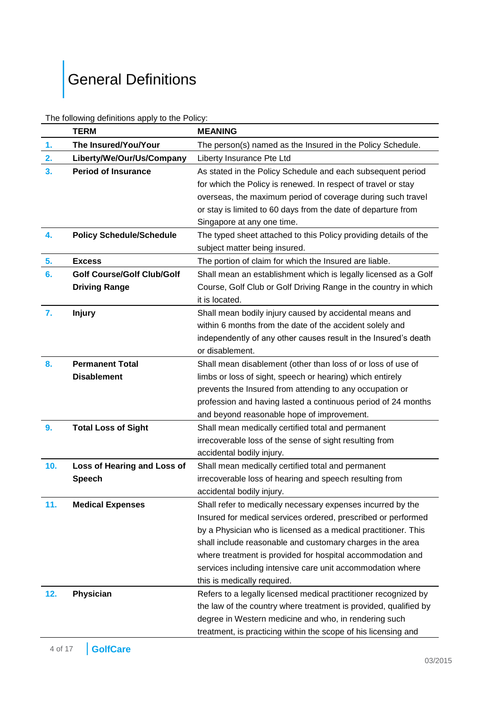# <span id="page-3-0"></span>General [Definitions](#page-1-0)

| The following definitions apply to the Policy: |  |  |
|------------------------------------------------|--|--|
|------------------------------------------------|--|--|

|                | <b>TERM</b>                       | <b>MEANING</b>                                                   |  |
|----------------|-----------------------------------|------------------------------------------------------------------|--|
| 1.             | The Insured/You/Your              | The person(s) named as the Insured in the Policy Schedule.       |  |
| 2.             | Liberty/We/Our/Us/Company         | Liberty Insurance Pte Ltd                                        |  |
| 3.             | <b>Period of Insurance</b>        | As stated in the Policy Schedule and each subsequent period      |  |
|                |                                   | for which the Policy is renewed. In respect of travel or stay    |  |
|                |                                   | overseas, the maximum period of coverage during such travel      |  |
|                |                                   | or stay is limited to 60 days from the date of departure from    |  |
|                |                                   | Singapore at any one time.                                       |  |
| 4.             | <b>Policy Schedule/Schedule</b>   | The typed sheet attached to this Policy providing details of the |  |
|                |                                   | subject matter being insured.                                    |  |
| 5.             | <b>Excess</b>                     | The portion of claim for which the Insured are liable.           |  |
| 6.             | <b>Golf Course/Golf Club/Golf</b> | Shall mean an establishment which is legally licensed as a Golf  |  |
|                | <b>Driving Range</b>              | Course, Golf Club or Golf Driving Range in the country in which  |  |
|                |                                   | it is located.                                                   |  |
| 7.             | <b>Injury</b>                     | Shall mean bodily injury caused by accidental means and          |  |
|                |                                   | within 6 months from the date of the accident solely and         |  |
|                |                                   | independently of any other causes result in the Insured's death  |  |
|                |                                   | or disablement.                                                  |  |
| 8 <sub>1</sub> | <b>Permanent Total</b>            | Shall mean disablement (other than loss of or loss of use of     |  |
|                | <b>Disablement</b>                | limbs or loss of sight, speech or hearing) which entirely        |  |
|                |                                   | prevents the Insured from attending to any occupation or         |  |
|                |                                   | profession and having lasted a continuous period of 24 months    |  |
|                |                                   | and beyond reasonable hope of improvement.                       |  |
| 9.             | <b>Total Loss of Sight</b>        | Shall mean medically certified total and permanent               |  |
|                |                                   | irrecoverable loss of the sense of sight resulting from          |  |
|                |                                   | accidental bodily injury.                                        |  |
| 10.            | Loss of Hearing and Loss of       | Shall mean medically certified total and permanent               |  |
|                | <b>Speech</b>                     | irrecoverable loss of hearing and speech resulting from          |  |
|                |                                   | accidental bodily injury.                                        |  |
| 11.            | <b>Medical Expenses</b>           | Shall refer to medically necessary expenses incurred by the      |  |
|                |                                   | Insured for medical services ordered, prescribed or performed    |  |
|                |                                   | by a Physician who is licensed as a medical practitioner. This   |  |
|                |                                   | shall include reasonable and customary charges in the area       |  |
|                |                                   | where treatment is provided for hospital accommodation and       |  |
|                |                                   | services including intensive care unit accommodation where       |  |
|                |                                   | this is medically required.                                      |  |
| 12.            | Physician                         | Refers to a legally licensed medical practitioner recognized by  |  |
|                |                                   | the law of the country where treatment is provided, qualified by |  |
|                |                                   | degree in Western medicine and who, in rendering such            |  |
|                |                                   | treatment, is practicing within the scope of his licensing and   |  |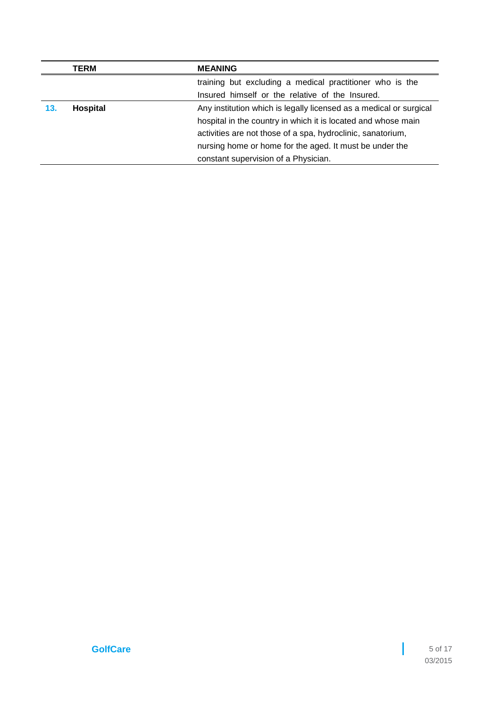|     | TERM     | <b>MEANING</b>                                                     |
|-----|----------|--------------------------------------------------------------------|
|     |          | training but excluding a medical practitioner who is the           |
|     |          | Insured himself or the relative of the Insured.                    |
| 13. | Hospital | Any institution which is legally licensed as a medical or surgical |
|     |          | hospital in the country in which it is located and whose main      |
|     |          | activities are not those of a spa, hydroclinic, sanatorium,        |
|     |          | nursing home or home for the aged. It must be under the            |
|     |          | constant supervision of a Physician.                               |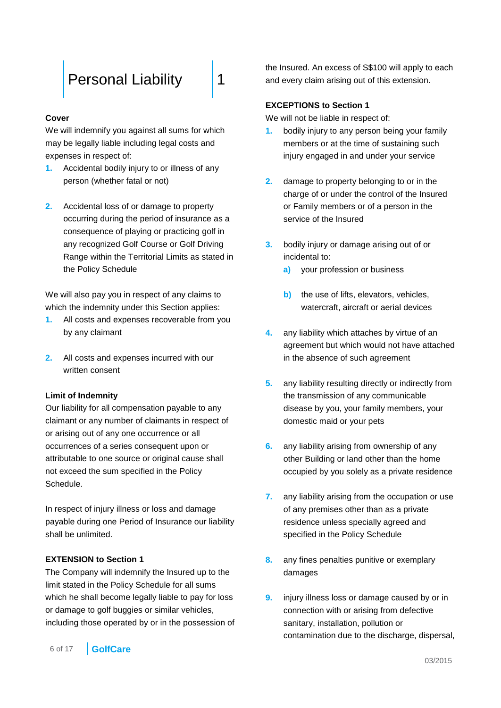### <span id="page-5-0"></span>[Personal Liability](#page-1-0) | [1](#page-1-0)

### **Cover**

We will indemnify you against all sums for which may be legally liable including legal costs and expenses in respect of:

- **1.** Accidental bodily injury to or illness of any person (whether fatal or not)
- **2.** Accidental loss of or damage to property occurring during the period of insurance as a consequence of playing or practicing golf in any recognized Golf Course or Golf Driving Range within the Territorial Limits as stated in the Policy Schedule

We will also pay you in respect of any claims to which the indemnity under this Section applies:

- **1.** All costs and expenses recoverable from you by any claimant
- **2.** All costs and expenses incurred with our written consent

### **Limit of Indemnity**

Our liability for all compensation payable to any claimant or any number of claimants in respect of or arising out of any one occurrence or all occurrences of a series consequent upon or attributable to one source or original cause shall not exceed the sum specified in the Policy Schedule.

In respect of injury illness or loss and damage payable during one Period of Insurance our liability shall be unlimited.

### **EXTENSION to Section 1**

The Company will indemnify the Insured up to the limit stated in the Policy Schedule for all sums which he shall become legally liable to pay for loss or damage to golf buggies or similar vehicles, including those operated by or in the possession of the Insured. An excess of S\$100 will apply to each and every claim arising out of this extension.

### **EXCEPTIONS to Section 1**

We will not be liable in respect of:

- **1.** bodily injury to any person being your family members or at the time of sustaining such injury engaged in and under your service
- **2.** damage to property belonging to or in the charge of or under the control of the Insured or Family members or of a person in the service of the Insured
- **3.** bodily injury or damage arising out of or incidental to:
	- **a)** your profession or business
	- **b)** the use of lifts, elevators, vehicles, watercraft, aircraft or aerial devices
- **4.** any liability which attaches by virtue of an agreement but which would not have attached in the absence of such agreement
- **5.** any liability resulting directly or indirectly from the transmission of any communicable disease by you, your family members, your domestic maid or your pets
- **6.** any liability arising from ownership of any other Building or land other than the home occupied by you solely as a private residence
- **7.** any liability arising from the occupation or use of any premises other than as a private residence unless specially agreed and specified in the Policy Schedule
- **8.** any fines penalties punitive or exemplary damages
- **9.** injury illness loss or damage caused by or in connection with or arising from defective sanitary, installation, pollution or contamination due to the discharge, dispersal,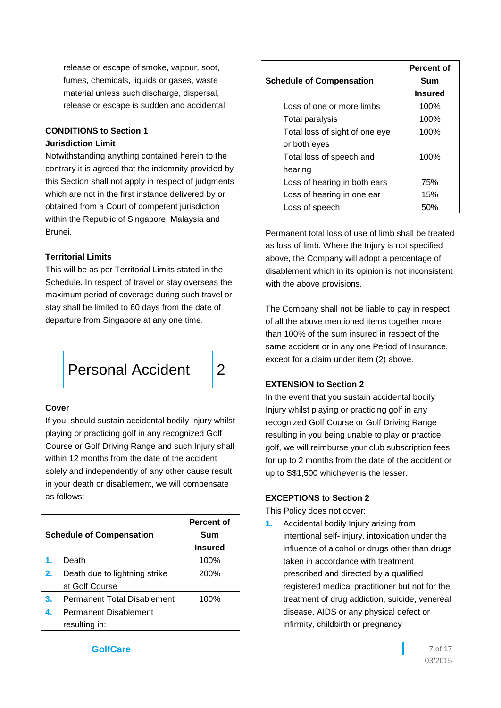release or escape of smoke, vapour, soot, fumes, chemicals, liquids or gases, waste material unless such discharge, dispersal, release or escape is sudden and accidental

### **CONDITIONS to Section 1**

### **Jurisdiction Limit**

Notwithstanding anything contained herein to the contrary it is agreed that the indemnity provided by this Section shall not apply in respect of judgments which are not in the first instance delivered by or obtained from a Court of competent jurisdiction within the Republic of Singapore, Malaysia and Brunei.

### **Territorial Limits**

This will be as per Territorial Limits stated in the Schedule. In respect of travel or stay overseas the maximum period of coverage during such travel or stay shall be limited to 60 days from the date of departure from Singapore at any one time.

<span id="page-6-0"></span>

### **Cover**

If you, should sustain accidental bodily Injury whilst playing or practicing golf in any recognized Golf Course or Golf Driving Range and such Injury shall within 12 months from the date of the accident solely and independently of any other cause result in your death or disablement, we will compensate as follows:

| <b>Schedule of Compensation</b> |                                    | Percent of<br>Sum<br><b>Insured</b> |
|---------------------------------|------------------------------------|-------------------------------------|
| 1.                              | Death                              | 100%                                |
| 2.                              | Death due to lightning strike      | 200%                                |
|                                 | at Golf Course                     |                                     |
| З.                              | <b>Permanent Total Disablement</b> | 100%                                |
|                                 | <b>Permanent Disablement</b>       |                                     |
|                                 | resulting in:                      |                                     |

| <b>Schedule of Compensation</b> | Percent of<br>Sum |  |
|---------------------------------|-------------------|--|
|                                 | <b>Insured</b>    |  |
| Loss of one or more limbs       | 100%              |  |
| Total paralysis                 | 100%              |  |
| Total loss of sight of one eye  | 100%              |  |
| or both eyes                    |                   |  |
| Total loss of speech and        | 100%              |  |
| hearing                         |                   |  |
| Loss of hearing in both ears    | 75%               |  |
| Loss of hearing in one ear      | 15%               |  |
| Loss of speech                  | 50%               |  |

Permanent total loss of use of limb shall be treated as loss of limb. Where the Injury is not specified above, the Company will adopt a percentage of disablement which in its opinion is not inconsistent with the above provisions.

The Company shall not be liable to pay in respect of all the above mentioned items together more than 100% of the sum insured in respect of the same accident or in any one Period of Insurance, except for a claim under item (2) above.

### **EXTENSION to Section 2**

In the event that you sustain accidental bodily Injury whilst playing or practicing golf in any recognized Golf Course or Golf Driving Range resulting in you being unable to play or practice golf, we will reimburse your club subscription fees for up to 2 months from the date of the accident or up to S\$1,500 whichever is the lesser.

### **EXCEPTIONS to Section 2**

This Policy does not cover:

**1.** Accidental bodily Injury arising from intentional self- injury, intoxication under the influence of alcohol or drugs other than drugs taken in accordance with treatment prescribed and directed by a qualified registered medical practitioner but not for the treatment of drug addiction, suicide, venereal disease, AIDS or any physical defect or infirmity, childbirth or pregnancy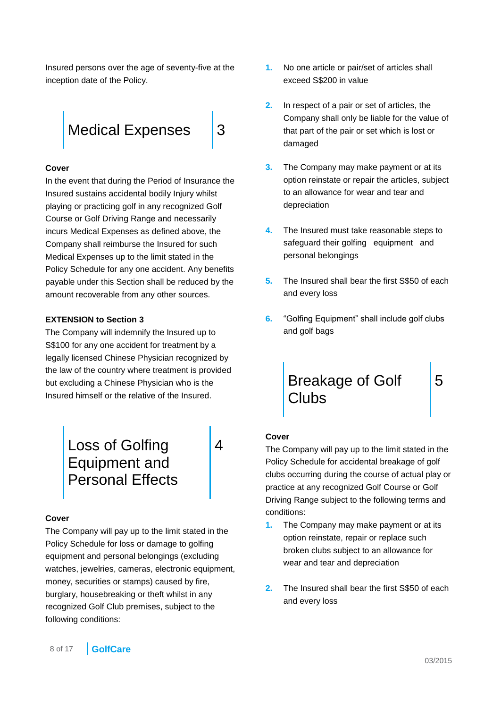Insured persons over the age of seventy-five at the inception date of the Policy.

<span id="page-7-0"></span>

### **Cover**

In the event that during the Period of Insurance the Insured sustains accidental bodily Injury whilst playing or practicing golf in any recognized Golf Course or Golf Driving Range and necessarily incurs Medical Expenses as defined above, the Company shall reimburse the Insured for such Medical Expenses up to the limit stated in the Policy Schedule for any one accident. Any benefits payable under this Section shall be reduced by the amount recoverable from any other sources.

### **EXTENSION to Section 3**

The Company will indemnify the Insured up to S\$100 for any one accident for treatment by a legally licensed Chinese Physician recognized by the law of the country where treatment is provided but excluding a Chinese Physician who is the Insured himself or the relative of the Insured.

> <span id="page-7-1"></span>[Loss of Golfing](#page-1-0)  [Equipment and](#page-1-0)  [Personal Effects](#page-1-0)

[4](#page-1-0)

### **Cover**

The Company will pay up to the limit stated in the Policy Schedule for loss or damage to golfing equipment and personal belongings (excluding watches, jewelries, cameras, electronic equipment, money, securities or stamps) caused by fire, burglary, housebreaking or theft whilst in any recognized Golf Club premises, subject to the following conditions:

- **1.** No one article or pair/set of articles shall exceed S\$200 in value
- **2.** In respect of a pair or set of articles, the Company shall only be liable for the value of that part of the pair or set which is lost or damaged
- **3.** The Company may make payment or at its option reinstate or repair the articles, subject to an allowance for wear and tear and depreciation
- **4.** The Insured must take reasonable steps to safeguard their golfing equipment and personal belongings
- **5.** The Insured shall bear the first S\$50 of each and every loss
- **6.** "Golfing Equipment" shall include golf clubs and golf bags

<span id="page-7-2"></span>

### **Cover**

The Company will pay up to the limit stated in the Policy Schedule for accidental breakage of golf clubs occurring during the course of actual play or practice at any recognized Golf Course or Golf Driving Range subject to the following terms and conditions:

- **1.** The Company may make payment or at its option reinstate, repair or replace such broken clubs subject to an allowance for wear and tear and depreciation
- **2.** The Insured shall bear the first S\$50 of each and every loss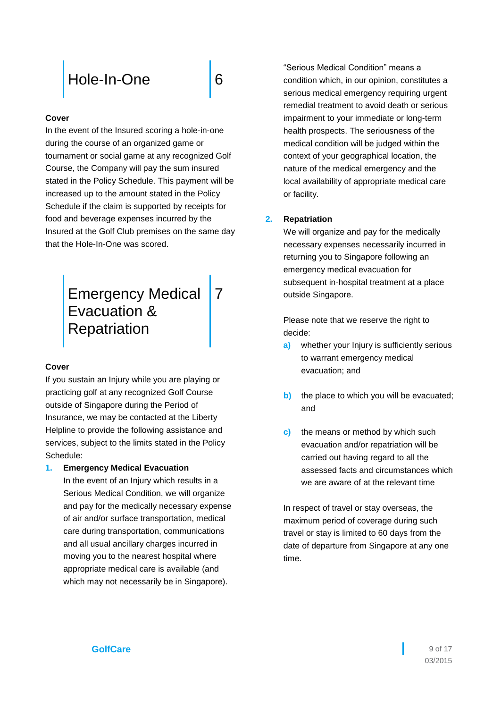# <span id="page-8-0"></span>[Hole-In-One](#page-1-0) [6](#page-1-0)

### **Cover**

In the event of the Insured scoring a hole-in-one during the course of an organized game or tournament or social game at any recognized Golf Course, the Company will pay the sum insured stated in the Policy Schedule. This payment will be increased up to the amount stated in the Policy Schedule if the claim is supported by receipts for food and beverage expenses incurred by the Insured at the Golf Club premises on the same day that the Hole-In-One was scored.

### <span id="page-8-1"></span>[Emergency Medical](#page-1-0)  [Evacuation &](#page-1-0)  **[Repatriation](#page-1-0)** [7](#page-1-0)

### **Cover**

If you sustain an Injury while you are playing or practicing golf at any recognized Golf Course outside of Singapore during the Period of Insurance, we may be contacted at the Liberty Helpline to provide the following assistance and services, subject to the limits stated in the Policy Schedule:

### **1. Emergency Medical Evacuation**

In the event of an Injury which results in a Serious Medical Condition, we will organize and pay for the medically necessary expense of air and/or surface transportation, medical care during transportation, communications and all usual ancillary charges incurred in moving you to the nearest hospital where appropriate medical care is available (and which may not necessarily be in Singapore).

"Serious Medical Condition" means a condition which, in our opinion, constitutes a serious medical emergency requiring urgent remedial treatment to avoid death or serious impairment to your immediate or long-term health prospects. The seriousness of the medical condition will be judged within the context of your geographical location, the nature of the medical emergency and the local availability of appropriate medical care or facility.

### **2. Repatriation**

We will organize and pay for the medically necessary expenses necessarily incurred in returning you to Singapore following an emergency medical evacuation for subsequent in-hospital treatment at a place outside Singapore.

Please note that we reserve the right to decide:

- **a)** whether your Injury is sufficiently serious to warrant emergency medical evacuation; and
- **b)** the place to which you will be evacuated; and
- **c)** the means or method by which such evacuation and/or repatriation will be carried out having regard to all the assessed facts and circumstances which we are aware of at the relevant time

In respect of travel or stay overseas, the maximum period of coverage during such travel or stay is limited to 60 days from the date of departure from Singapore at any one time.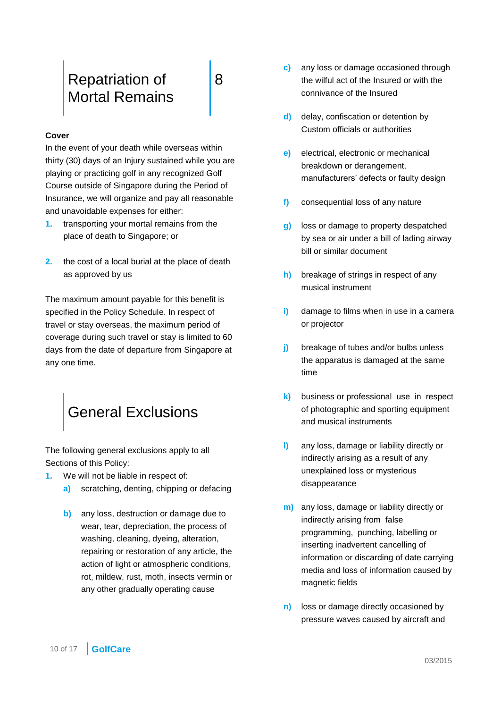### <span id="page-9-0"></span>[Repatriation of](#page-1-0)  [Mortal Remains](#page-1-0)

[8](#page-1-0)

### **Cover**

In the event of your death while overseas within thirty (30) days of an Injury sustained while you are playing or practicing golf in any recognized Golf Course outside of Singapore during the Period of Insurance, we will organize and pay all reasonable and unavoidable expenses for either:

- **1.** transporting your mortal remains from the place of death to Singapore; or
- **2.** the cost of a local burial at the place of death as approved by us

The maximum amount payable for this benefit is specified in the Policy Schedule. In respect of travel or stay overseas, the maximum period of coverage during such travel or stay is limited to 60 days from the date of departure from Singapore at any one time.

<span id="page-9-1"></span>

The following general exclusions apply to all Sections of this Policy:

- **1.** We will not be liable in respect of:
	- **a)** scratching, denting, chipping or defacing
	- **b)** any loss, destruction or damage due to wear, tear, depreciation, the process of washing, cleaning, dyeing, alteration, repairing or restoration of any article, the action of light or atmospheric conditions, rot, mildew, rust, moth, insects vermin or any other gradually operating cause
- **c)** any loss or damage occasioned through the wilful act of the Insured or with the connivance of the Insured
- **d)** delay, confiscation or detention by Custom officials or authorities
- **e)** electrical, electronic or mechanical breakdown or derangement, manufacturers' defects or faulty design
- **f)** consequential loss of any nature
- **g)** loss or damage to property despatched by sea or air under a bill of lading airway bill or similar document
- **h)** breakage of strings in respect of any musical instrument
- **i)** damage to films when in use in a camera or projector
- **j)** breakage of tubes and/or bulbs unless the apparatus is damaged at the same time
- **k)** business or professional use in respect of photographic and sporting equipment and musical instruments
- **l)** any loss, damage or liability directly or indirectly arising as a result of any unexplained loss or mysterious disappearance
- **m)** any loss, damage or liability directly or indirectly arising from false programming, punching, labelling or inserting inadvertent cancelling of information or discarding of date carrying media and loss of information caused by magnetic fields
- **n)** loss or damage directly occasioned by pressure waves caused by aircraft and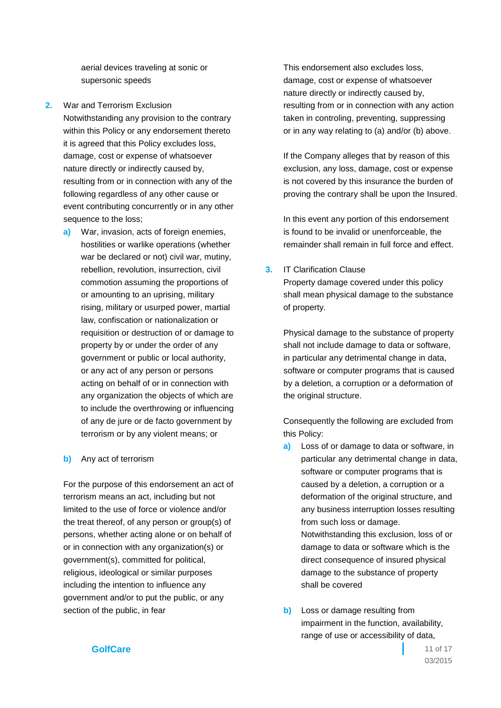aerial devices traveling at sonic or supersonic speeds

- **2.** War and Terrorism Exclusion Notwithstanding any provision to the contrary within this Policy or any endorsement thereto it is agreed that this Policy excludes loss, damage, cost or expense of whatsoever nature directly or indirectly caused by, resulting from or in connection with any of the following regardless of any other cause or event contributing concurrently or in any other sequence to the loss;
	- **a)** War, invasion, acts of foreign enemies, hostilities or warlike operations (whether war be declared or not) civil war, mutiny, rebellion, revolution, insurrection, civil commotion assuming the proportions of or amounting to an uprising, military rising, military or usurped power, martial law, confiscation or nationalization or requisition or destruction of or damage to property by or under the order of any government or public or local authority, or any act of any person or persons acting on behalf of or in connection with any organization the objects of which are to include the overthrowing or influencing of any de jure or de facto government by terrorism or by any violent means; or

### **b)** Any act of terrorism

For the purpose of this endorsement an act of terrorism means an act, including but not limited to the use of force or violence and/or the treat thereof, of any person or group(s) of persons, whether acting alone or on behalf of or in connection with any organization(s) or government(s), committed for political, religious, ideological or similar purposes including the intention to influence any government and/or to put the public, or any section of the public, in fear

This endorsement also excludes loss, damage, cost or expense of whatsoever nature directly or indirectly caused by, resulting from or in connection with any action taken in controling, preventing, suppressing or in any way relating to (a) and/or (b) above.

If the Company alleges that by reason of this exclusion, any loss, damage, cost or expense is not covered by this insurance the burden of proving the contrary shall be upon the Insured.

In this event any portion of this endorsement is found to be invalid or unenforceable, the remainder shall remain in full force and effect.

### **3.** IT Clarification Clause

Property damage covered under this policy shall mean physical damage to the substance of property.

Physical damage to the substance of property shall not include damage to data or software, in particular any detrimental change in data, software or computer programs that is caused by a deletion, a corruption or a deformation of the original structure.

Consequently the following are excluded from this Policy:

- **a)** Loss of or damage to data or software, in particular any detrimental change in data, software or computer programs that is caused by a deletion, a corruption or a deformation of the original structure, and any business interruption losses resulting from such loss or damage. Notwithstanding this exclusion, loss of or damage to data or software which is the direct consequence of insured physical damage to the substance of property shall be covered
- **b)** Loss or damage resulting from impairment in the function, availability, range of use or accessibility of data,

### **GolfCare** 11 of 17

03/2015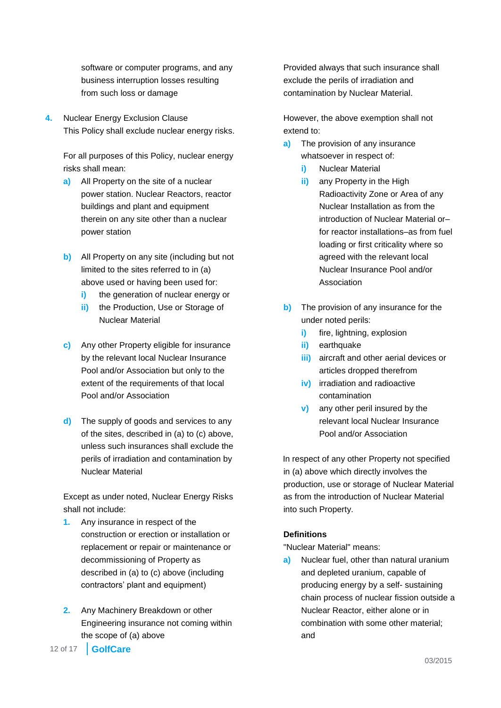software or computer programs, and any business interruption losses resulting from such loss or damage

**4.** Nuclear Energy Exclusion Clause This Policy shall exclude nuclear energy risks.

For all purposes of this Policy, nuclear energy risks shall mean:

- **a)** All Property on the site of a nuclear power station. Nuclear Reactors, reactor buildings and plant and equipment therein on any site other than a nuclear power station
- **b)** All Property on any site (including but not limited to the sites referred to in (a) above used or having been used for:
	- **i)** the generation of nuclear energy or
	- **ii)** the Production, Use or Storage of Nuclear Material
- **c)** Any other Property eligible for insurance by the relevant local Nuclear Insurance Pool and/or Association but only to the extent of the requirements of that local Pool and/or Association
- **d)** The supply of goods and services to any of the sites, described in (a) to (c) above, unless such insurances shall exclude the perils of irradiation and contamination by Nuclear Material

Except as under noted, Nuclear Energy Risks shall not include:

- **1.** Any insurance in respect of the construction or erection or installation or replacement or repair or maintenance or decommissioning of Property as described in (a) to (c) above (including contractors' plant and equipment)
- **2.** Any Machinery Breakdown or other Engineering insurance not coming within the scope of (a) above

Provided always that such insurance shall exclude the perils of irradiation and contamination by Nuclear Material.

However, the above exemption shall not extend to:

- **a)** The provision of any insurance whatsoever in respect of:
	- **i)** Nuclear Material
	- **ii)** any Property in the High Radioactivity Zone or Area of any Nuclear Installation as from the introduction of Nuclear Material or– for reactor installations–as from fuel loading or first criticality where so agreed with the relevant local Nuclear Insurance Pool and/or Association
- **b)** The provision of any insurance for the under noted perils:
	- **i)** fire, lightning, explosion
	- **ii)** earthquake
	- **iii)** aircraft and other aerial devices or articles dropped therefrom
	- **iv)** irradiation and radioactive contamination
	- **v)** any other peril insured by the relevant local Nuclear Insurance Pool and/or Association

In respect of any other Property not specified in (a) above which directly involves the production, use or storage of Nuclear Material as from the introduction of Nuclear Material into such Property.

### **Definitions**

"Nuclear Material" means:

**a)** Nuclear fuel, other than natural uranium and depleted uranium, capable of producing energy by a self- sustaining chain process of nuclear fission outside a Nuclear Reactor, either alone or in combination with some other material; and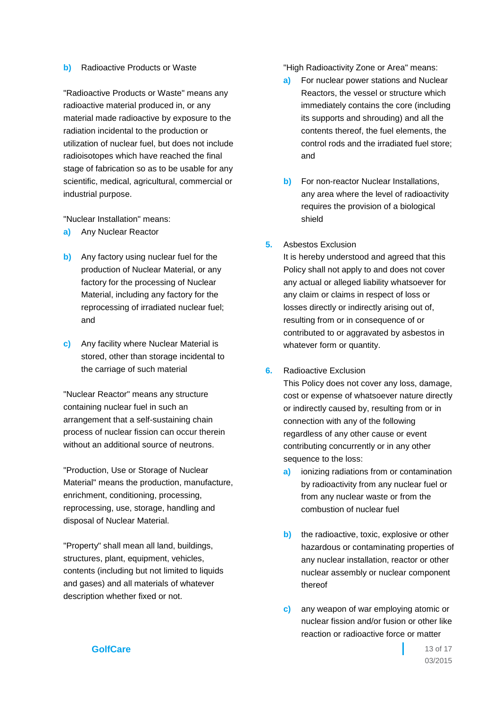#### **b)** Radioactive Products or Waste

"Radioactive Products or Waste" means any radioactive material produced in, or any material made radioactive by exposure to the radiation incidental to the production or utilization of nuclear fuel, but does not include radioisotopes which have reached the final stage of fabrication so as to be usable for any scientific, medical, agricultural, commercial or industrial purpose.

"Nuclear Installation" means:

- **a)** Any Nuclear Reactor
- **b)** Any factory using nuclear fuel for the production of Nuclear Material, or any factory for the processing of Nuclear Material, including any factory for the reprocessing of irradiated nuclear fuel; and
- **c)** Any facility where Nuclear Material is stored, other than storage incidental to the carriage of such material

"Nuclear Reactor" means any structure containing nuclear fuel in such an arrangement that a self-sustaining chain process of nuclear fission can occur therein without an additional source of neutrons.

"Production, Use or Storage of Nuclear Material" means the production, manufacture, enrichment, conditioning, processing, reprocessing, use, storage, handling and disposal of Nuclear Material.

"Property" shall mean all land, buildings, structures, plant, equipment, vehicles, contents (including but not limited to liquids and gases) and all materials of whatever description whether fixed or not.

"High Radioactivity Zone or Area" means:

- **a)** For nuclear power stations and Nuclear Reactors, the vessel or structure which immediately contains the core (including its supports and shrouding) and all the contents thereof, the fuel elements, the control rods and the irradiated fuel store; and
- **b)** For non-reactor Nuclear Installations, any area where the level of radioactivity requires the provision of a biological shield
- **5.** Asbestos Exclusion

It is hereby understood and agreed that this Policy shall not apply to and does not cover any actual or alleged liability whatsoever for any claim or claims in respect of loss or losses directly or indirectly arising out of, resulting from or in consequence of or contributed to or aggravated by asbestos in whatever form or quantity.

**6.** Radioactive Exclusion

This Policy does not cover any loss, damage, cost or expense of whatsoever nature directly or indirectly caused by, resulting from or in connection with any of the following regardless of any other cause or event contributing concurrently or in any other sequence to the loss:

- **a)** ionizing radiations from or contamination by radioactivity from any nuclear fuel or from any nuclear waste or from the combustion of nuclear fuel
- **b)** the radioactive, toxic, explosive or other hazardous or contaminating properties of any nuclear installation, reactor or other nuclear assembly or nuclear component thereof
- **c)** any weapon of war employing atomic or nuclear fission and/or fusion or other like reaction or radioactive force or matter

**GolfCare** 13 of 17

03/2015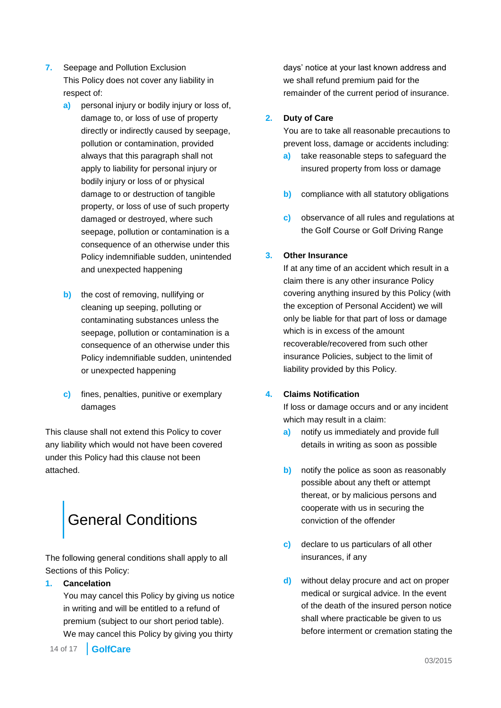- **7.** Seepage and Pollution Exclusion This Policy does not cover any liability in respect of:
	- **a)** personal injury or bodily injury or loss of, damage to, or loss of use of property directly or indirectly caused by seepage, pollution or contamination, provided always that this paragraph shall not apply to liability for personal injury or bodily injury or loss of or physical damage to or destruction of tangible property, or loss of use of such property damaged or destroyed, where such seepage, pollution or contamination is a consequence of an otherwise under this Policy indemnifiable sudden, unintended and unexpected happening
	- **b)** the cost of removing, nullifying or cleaning up seeping, polluting or contaminating substances unless the seepage, pollution or contamination is a consequence of an otherwise under this Policy indemnifiable sudden, unintended or unexpected happening
	- **c)** fines, penalties, punitive or exemplary damages

This clause shall not extend this Policy to cover any liability which would not have been covered under this Policy had this clause not been attached.

# <span id="page-13-0"></span>[General Conditions](#page-1-0)

The following general conditions shall apply to all Sections of this Policy:

### **1. Cancelation**

You may cancel this Policy by giving us notice in writing and will be entitled to a refund of premium (subject to our short period table). We may cancel this Policy by giving you thirty

14 of 17 **GolfCare**

days' notice at your last known address and we shall refund premium paid for the remainder of the current period of insurance.

### **2. Duty of Care**

You are to take all reasonable precautions to prevent loss, damage or accidents including:

- **a)** take reasonable steps to safeguard the insured property from loss or damage
- **b)** compliance with all statutory obligations
- **c)** observance of all rules and regulations at the Golf Course or Golf Driving Range

### **3. Other Insurance**

If at any time of an accident which result in a claim there is any other insurance Policy covering anything insured by this Policy (with the exception of Personal Accident) we will only be liable for that part of loss or damage which is in excess of the amount recoverable/recovered from such other insurance Policies, subject to the limit of liability provided by this Policy.

### **4. Claims Notification**

If loss or damage occurs and or any incident which may result in a claim:

- **a)** notify us immediately and provide full details in writing as soon as possible
- **b)** notify the police as soon as reasonably possible about any theft or attempt thereat, or by malicious persons and cooperate with us in securing the conviction of the offender
- **c)** declare to us particulars of all other insurances, if any
- **d)** without delay procure and act on proper medical or surgical advice. In the event of the death of the insured person notice shall where practicable be given to us before interment or cremation stating the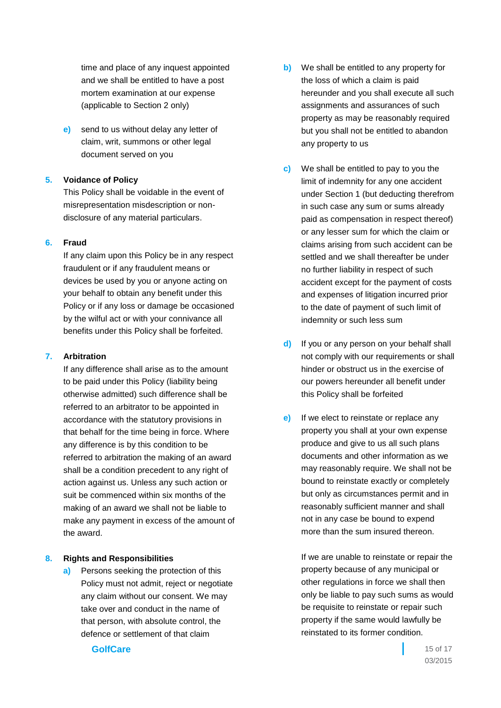time and place of any inquest appointed and we shall be entitled to have a post mortem examination at our expense (applicable to Section 2 only)

**e)** send to us without delay any letter of claim, writ, summons or other legal document served on you

### **5. Voidance of Policy**

This Policy shall be voidable in the event of misrepresentation misdescription or nondisclosure of any material particulars.

### **6. Fraud**

If any claim upon this Policy be in any respect fraudulent or if any fraudulent means or devices be used by you or anyone acting on your behalf to obtain any benefit under this Policy or if any loss or damage be occasioned by the wilful act or with your connivance all benefits under this Policy shall be forfeited.

### **7. Arbitration**

If any difference shall arise as to the amount to be paid under this Policy (liability being otherwise admitted) such difference shall be referred to an arbitrator to be appointed in accordance with the statutory provisions in that behalf for the time being in force. Where any difference is by this condition to be referred to arbitration the making of an award shall be a condition precedent to any right of action against us. Unless any such action or suit be commenced within six months of the making of an award we shall not be liable to make any payment in excess of the amount of the award.

### **8. Rights and Responsibilities**

**a)** Persons seeking the protection of this Policy must not admit, reject or negotiate any claim without our consent. We may take over and conduct in the name of that person, with absolute control, the defence or settlement of that claim

- **b)** We shall be entitled to any property for the loss of which a claim is paid hereunder and you shall execute all such assignments and assurances of such property as may be reasonably required but you shall not be entitled to abandon any property to us
- **c)** We shall be entitled to pay to you the limit of indemnity for any one accident under Section 1 (but deducting therefrom in such case any sum or sums already paid as compensation in respect thereof) or any lesser sum for which the claim or claims arising from such accident can be settled and we shall thereafter be under no further liability in respect of such accident except for the payment of costs and expenses of litigation incurred prior to the date of payment of such limit of indemnity or such less sum
- **d)** If you or any person on your behalf shall not comply with our requirements or shall hinder or obstruct us in the exercise of our powers hereunder all benefit under this Policy shall be forfeited
- **e)** If we elect to reinstate or replace any property you shall at your own expense produce and give to us all such plans documents and other information as we may reasonably require. We shall not be bound to reinstate exactly or completely but only as circumstances permit and in reasonably sufficient manner and shall not in any case be bound to expend more than the sum insured thereon.

If we are unable to reinstate or repair the property because of any municipal or other regulations in force we shall then only be liable to pay such sums as would be requisite to reinstate or repair such property if the same would lawfully be reinstated to its former condition.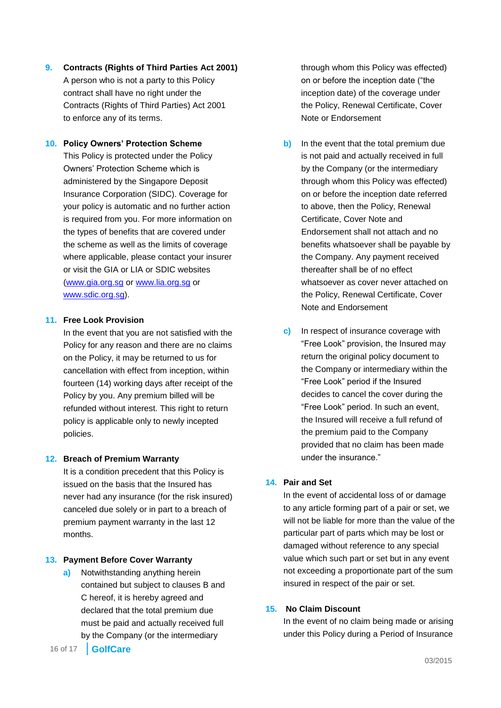**9. Contracts (Rights of Third Parties Act 2001)** A person who is not a party to this Policy contract shall have no right under the Contracts (Rights of Third Parties) Act 2001 to enforce any of its terms.

### **10. Policy Owners' Protection Scheme**

This Policy is protected under the Policy Owners' Protection Scheme which is administered by the Singapore Deposit Insurance Corporation (SIDC). Coverage for your policy is automatic and no further action is required from you. For more information on the types of benefits that are covered under the scheme as well as the limits of coverage where applicable, please contact your insurer or visit the GIA or LIA or SDIC websites [\(www.gia.org.sg](http://www.gia.org.sg/) or [www.lia.org.sg](http://www.lia.org.sg/) or [www.sdic.org.sg\)](http://www.sdic.org.sg/).

### **11. Free Look Provision**

In the event that you are not satisfied with the Policy for any reason and there are no claims on the Policy, it may be returned to us for cancellation with effect from inception, within fourteen (14) working days after receipt of the Policy by you. Any premium billed will be refunded without interest. This right to return policy is applicable only to newly incepted policies.

### **12. Breach of Premium Warranty**

It is a condition precedent that this Policy is issued on the basis that the Insured has never had any insurance (for the risk insured) canceled due solely or in part to a breach of premium payment warranty in the last 12 months.

### **13. Payment Before Cover Warranty**

**a)** Notwithstanding anything herein contained but subject to clauses B and C hereof, it is hereby agreed and declared that the total premium due must be paid and actually received full by the Company (or the intermediary

16 of 17 **GolfCare**

through whom this Policy was effected) on or before the inception date ("the inception date) of the coverage under the Policy, Renewal Certificate, Cover Note or Endorsement

- **b)** In the event that the total premium due is not paid and actually received in full by the Company (or the intermediary through whom this Policy was effected) on or before the inception date referred to above, then the Policy, Renewal Certificate, Cover Note and Endorsement shall not attach and no benefits whatsoever shall be payable by the Company. Any payment received thereafter shall be of no effect whatsoever as cover never attached on the Policy, Renewal Certificate, Cover Note and Endorsement
- **c)** In respect of insurance coverage with "Free Look" provision, the Insured may return the original policy document to the Company or intermediary within the "Free Look" period if the Insured decides to cancel the cover during the "Free Look" period. In such an event, the Insured will receive a full refund of the premium paid to the Company provided that no claim has been made under the insurance."

### **14. Pair and Set**

In the event of accidental loss of or damage to any article forming part of a pair or set, we will not be liable for more than the value of the particular part of parts which may be lost or damaged without reference to any special value which such part or set but in any event not exceeding a proportionate part of the sum insured in respect of the pair or set.

### **15. No Claim Discount**

In the event of no claim being made or arising under this Policy during a Period of Insurance